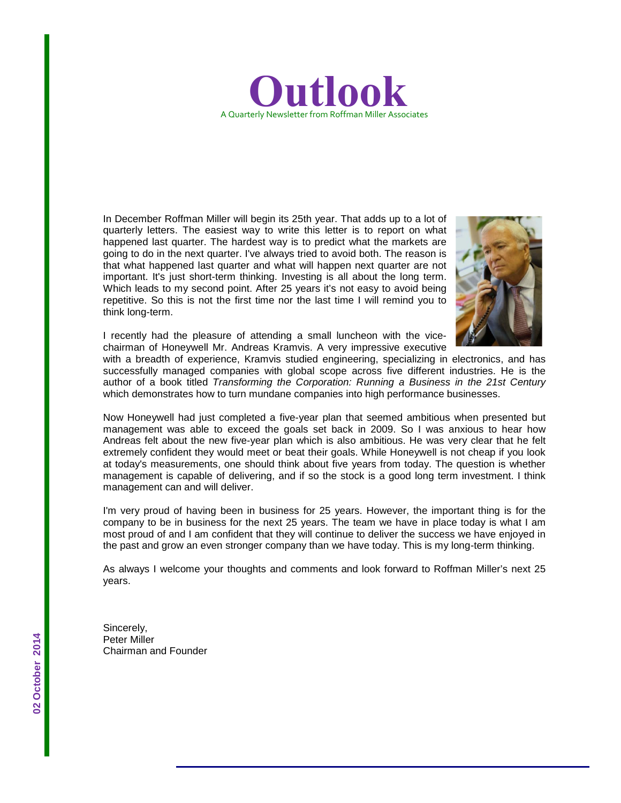

In December Roffman Miller will begin its 25th year. That adds up to a lot of quarterly letters. The easiest way to write this letter is to report on what happened last quarter. The hardest way is to predict what the markets are going to do in the next quarter. I've always tried to avoid both. The reason is that what happened last quarter and what will happen next quarter are not important. It's just short-term thinking. Investing is all about the long term. Which leads to my second point. After 25 years it's not easy to avoid being repetitive. So this is not the first time nor the last time I will remind you to think long-term.



I recently had the pleasure of attending a small luncheon with the vicechairman of Honeywell Mr. Andreas Kramvis. A very impressive executive

with a breadth of experience, Kramvis studied engineering, specializing in electronics, and has successfully managed companies with global scope across five different industries. He is the author of a book titled *Transforming the Corporation: Running a Business in the 21st Century* which demonstrates how to turn mundane companies into high performance businesses.

Now Honeywell had just completed a five-year plan that seemed ambitious when presented but management was able to exceed the goals set back in 2009. So I was anxious to hear how Andreas felt about the new five-year plan which is also ambitious. He was very clear that he felt extremely confident they would meet or beat their goals. While Honeywell is not cheap if you look at today's measurements, one should think about five years from today. The question is whether management is capable of delivering, and if so the stock is a good long term investment. I think management can and will deliver.

I'm very proud of having been in business for 25 years. However, the important thing is for the company to be in business for the next 25 years. The team we have in place today is what I am most proud of and I am confident that they will continue to deliver the success we have enjoyed in the past and grow an even stronger company than we have today. This is my long-term thinking.

As always I welcome your thoughts and comments and look forward to Roffman Miller's next 25 years.

Sincerely, Peter Miller Chairman and Founder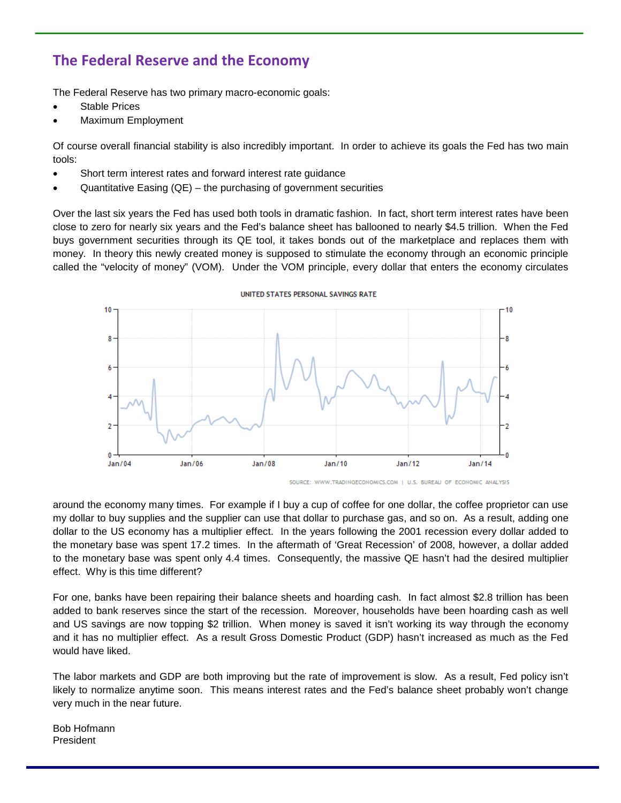# **The Federal Reserve and the Economy**

The Federal Reserve has two primary macro-economic goals:

- Stable Prices
- Maximum Employment

Of course overall financial stability is also incredibly important. In order to achieve its goals the Fed has two main tools:

- Short term interest rates and forward interest rate guidance
- Quantitative Easing  $(QE)$  the purchasing of government securities

Over the last six years the Fed has used both tools in dramatic fashion. In fact, short term interest rates have been close to zero for nearly six years and the Fed's balance sheet has ballooned to nearly \$4.5 trillion. When the Fed buys government securities through its QE tool, it takes bonds out of the marketplace and replaces them with money. In theory this newly created money is supposed to stimulate the economy through an economic principle called the "velocity of money" (VOM). Under the VOM principle, every dollar that enters the economy circulates



UNITED STATES PERSONAL SAVINGS RATE

around the economy many times. For example if I buy a cup of coffee for one dollar, the coffee proprietor can use my dollar to buy supplies and the supplier can use that dollar to purchase gas, and so on. As a result, adding one dollar to the US economy has a multiplier effect. In the years following the 2001 recession every dollar added to the monetary base was spent 17.2 times. In the aftermath of 'Great Recession' of 2008, however, a dollar added to the monetary base was spent only 4.4 times. Consequently, the massive QE hasn't had the desired multiplier effect. Why is this time different?

For one, banks have been repairing their balance sheets and hoarding cash. In fact almost \$2.8 trillion has been added to bank reserves since the start of the recession. Moreover, households have been hoarding cash as well and US savings are now topping \$2 trillion. When money is saved it isn't working its way through the economy and it has no multiplier effect. As a result Gross Domestic Product (GDP) hasn't increased as much as the Fed would have liked.

The labor markets and GDP are both improving but the rate of improvement is slow. As a result, Fed policy isn't likely to normalize anytime soon. This means interest rates and the Fed's balance sheet probably won't change very much in the near future.

Bob Hofmann President

SOURCE: WWW.TRADINGECONOMICS.COM | U.S. BUREAU OF ECONOMIC ANALYSIS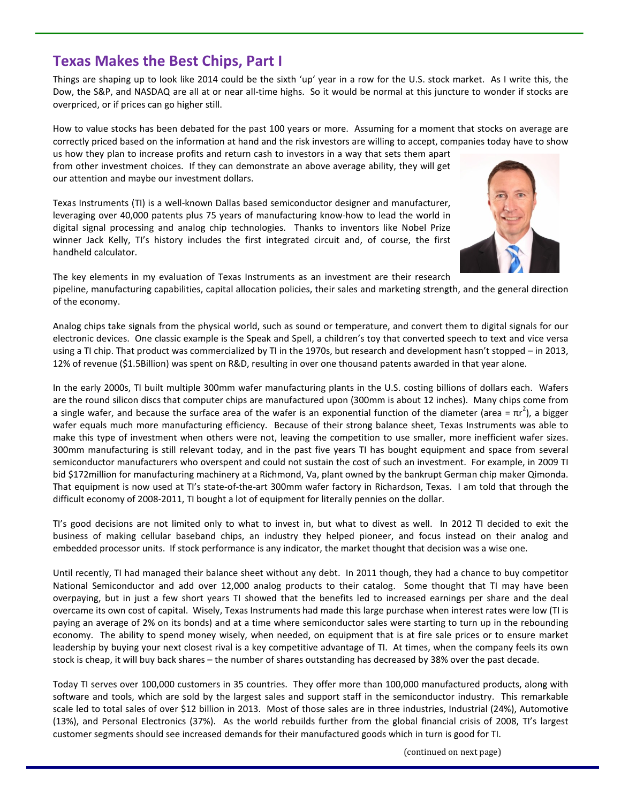#### (continued on next page)

## **Texas Makes the Best Chips, Part I**

Things are shaping up to look like 2014 could be the sixth 'up' year in a row for the U.S. stock market. As I write this, the Dow, the S&P, and NASDAQ are all at or near all-time highs. So it would be normal at this juncture to wonder if stocks are overpriced, or if prices can go higher still.

How to value stocks has been debated for the past 100 years or more. Assuming for a moment that stocks on average are correctly priced based on the information at hand and the risk investors are willing to accept, companies today have to show

us how they plan to increase profits and return cash to investors in a way that sets them apart from other investment choices. If they can demonstrate an above average ability, they will get our attention and maybe our investment dollars.

Texas Instruments (TI) is a well-known Dallas based semiconductor designer and manufacturer, leveraging over 40,000 patents plus 75 years of manufacturing know-how to lead the world in digital signal processing and analog chip technologies. Thanks to inventors like Nobel Prize winner Jack Kelly, TI's history includes the first integrated circuit and, of course, the first handheld calculator.

The key elements in my evaluation of Texas Instruments as an investment are their research pipeline, manufacturing capabilities, capital allocation policies, their sales and marketing strength, and the general direction of the economy.

Analog chips take signals from the physical world, such as sound or temperature, and convert them to digital signals for our electronic devices. One classic example is the Speak and Spell, a children's toy that converted speech to text and vice versa using a TI chip. That product was commercialized by TI in the 1970s, but research and development hasn't stopped – in 2013, 12% of revenue (\$1.5Billion) was spent on R&D, resulting in over one thousand patents awarded in that year alone.

In the early 2000s, TI built multiple 300mm wafer manufacturing plants in the U.S. costing billions of dollars each. Wafers are the round silicon discs that computer chips are manufactured upon (300mm is about 12 inches). Many chips come from a single wafer, and because the surface area of the wafer is an exponential function of the diameter (area =  $\pi r^2$ ), a bigger wafer equals much more manufacturing efficiency. Because of their strong balance sheet, Texas Instruments was able to make this type of investment when others were not, leaving the competition to use smaller, more inefficient wafer sizes. 300mm manufacturing is still relevant today, and in the past five years TI has bought equipment and space from several semiconductor manufacturers who overspent and could not sustain the cost of such an investment. For example, in 2009 TI bid \$172million for manufacturing machinery at a Richmond, Va, plant owned by the bankrupt German chip maker Qimonda. That equipment is now used at TI's state-of-the-art 300mm wafer factory in Richardson, Texas. I am told that through the difficult economy of 2008-2011, TI bought a lot of equipment for literally pennies on the dollar.

TI's good decisions are not limited only to what to invest in, but what to divest as well. In 2012 TI decided to exit the business of making cellular baseband chips, an industry they helped pioneer, and focus instead on their analog and embedded processor units. If stock performance is any indicator, the market thought that decision was a wise one.

Until recently, TI had managed their balance sheet without any debt. In 2011 though, they had a chance to buy competitor National Semiconductor and add over 12,000 analog products to their catalog. Some thought that TI may have been overpaying, but in just a few short years TI showed that the benefits led to increased earnings per share and the deal overcame its own cost of capital. Wisely, Texas Instruments had made this large purchase when interest rates were low (TI is paying an average of 2% on its bonds) and at a time where semiconductor sales were starting to turn up in the rebounding economy. The ability to spend money wisely, when needed, on equipment that is at fire sale prices or to ensure market leadership by buying your next closest rival is a key competitive advantage of TI. At times, when the company feels its own stock is cheap, it will buy back shares – the number of shares outstanding has decreased by 38% over the past decade.

Today TI serves over 100,000 customers in 35 countries. They offer more than 100,000 manufactured products, along with software and tools, which are sold by the largest sales and support staff in the semiconductor industry. This remarkable scale led to total sales of over \$12 billion in 2013. Most of those sales are in three industries, Industrial (24%), Automotive (13%), and Personal Electronics (37%). As the world rebuilds further from the global financial crisis of 2008, TI's largest customer segments should see increased demands for their manufactured goods which in turn is good for TI.